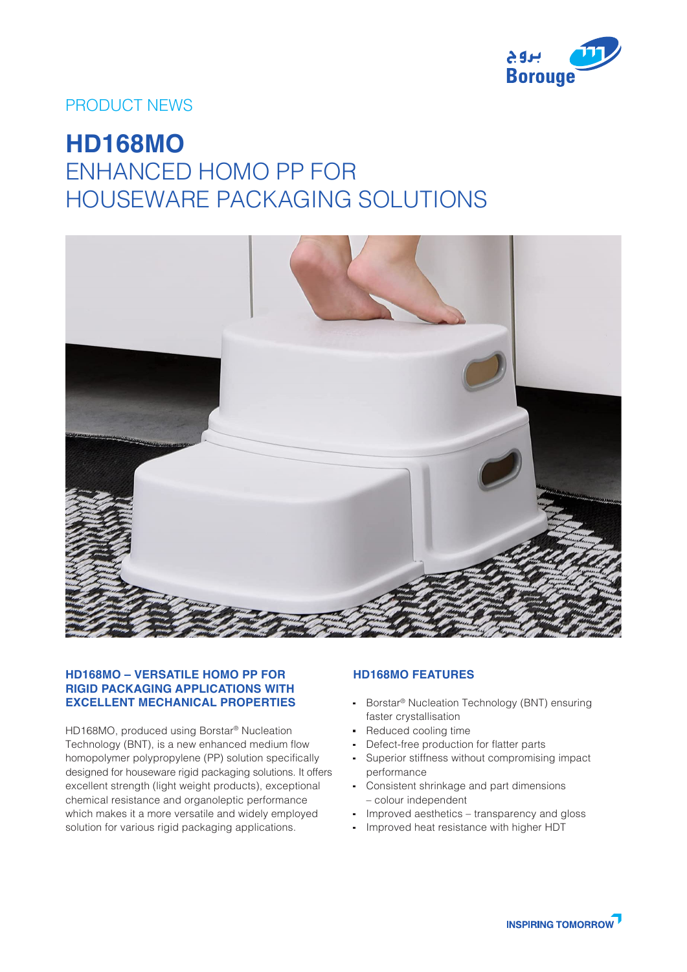

## PRODUCT NEWS

# **HD168MO** ENHANCED HOMO PP FOR HOUSEWARE PACKAGING SOLUTIONS



#### **HD168MO – VERSATILE HOMO PP FOR RIGID PACKAGING APPLICATIONS WITH EXCELLENT MECHANICAL PROPERTIES**

HD168MO, produced using Borstar® Nucleation Technology (BNT), is a new enhanced medium flow homopolymer polypropylene (PP) solution specifically designed for houseware rigid packaging solutions. It offers excellent strength (light weight products), exceptional chemical resistance and organoleptic performance which makes it a more versatile and widely employed solution for various rigid packaging applications.

### **HD168MO FEATURES**

- Borstar<sup>®</sup> Nucleation Technology (BNT) ensuring faster crystallisation
- Reduced cooling time
- Defect-free production for flatter parts
- Superior stiffness without compromising impact performance
- Consistent shrinkage and part dimensions – colour independent
- Improved aesthetics transparency and gloss
- Improved heat resistance with higher HDT